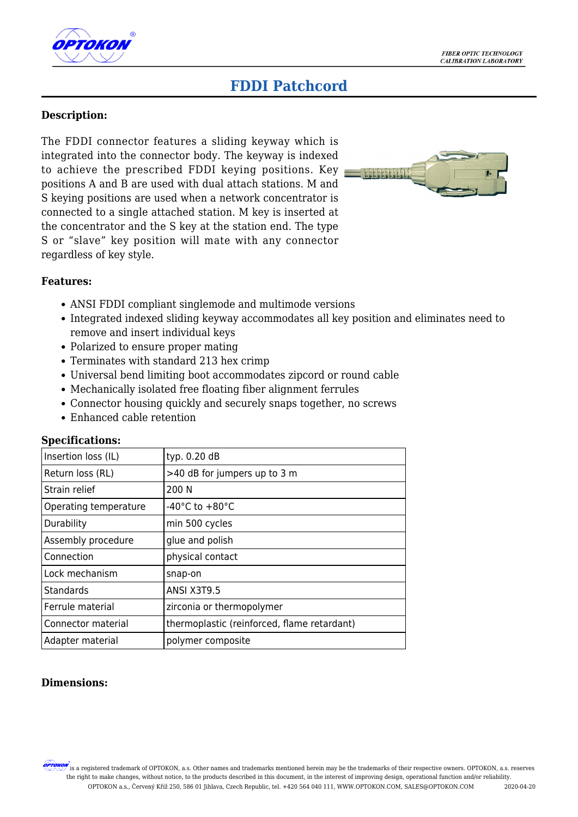

# **FDDI Patchcord**

#### **Description:**

The FDDI connector features a sliding keyway which is integrated into the connector body. The keyway is indexed to achieve the prescribed FDDI keying positions. Key positions A and B are used with dual attach stations. M and S keying positions are used when a network concentrator is connected to a single attached station. M key is inserted at the concentrator and the S key at the station end. The type S or "slave" key position will mate with any connector regardless of key style.



#### **Features:**

- ANSI FDDI compliant singlemode and multimode versions
- Integrated indexed sliding keyway accommodates all key position and eliminates need to remove and insert individual keys
- Polarized to ensure proper mating
- Terminates with standard 213 hex crimp
- Universal bend limiting boot accommodates zipcord or round cable
- Mechanically isolated free floating fiber alignment ferrules
- Connector housing quickly and securely snaps together, no screws
- Enhanced cable retention

#### **Specifications:**

| Insertion loss (IL)   | typ. 0.20 dB                                |
|-----------------------|---------------------------------------------|
| Return loss (RL)      | >40 dB for jumpers up to 3 m                |
| Strain relief         | 200 N                                       |
| Operating temperature | -40 $^{\circ}$ C to +80 $^{\circ}$ C        |
| Durability            | min 500 cycles                              |
| Assembly procedure    | glue and polish                             |
| Connection            | physical contact                            |
| Lock mechanism        | snap-on                                     |
| Standards             | ANSI X3T9.5                                 |
| Ferrule material      | zirconia or thermopolymer                   |
| Connector material    | thermoplastic (reinforced, flame retardant) |
| Adapter material      | polymer composite                           |

### **Dimensions:**

 $\!\!\!''$  is a registered trademark of OPTOKON, a.s. Other names and trademarks mentioned herein may be the trademarks of their respective owners. OPTOKON, a.s. reserves the right to make changes, without notice, to the products described in this document, in the interest of improving design, operational function and/or reliability. OPTOKON a.s., Červený Kříž 250, 586 01 Jihlava, Czech Republic, tel. +420 564 040 111, WWW.OPTOKON.COM, SALES@OPTOKON.COM 2020-04-20